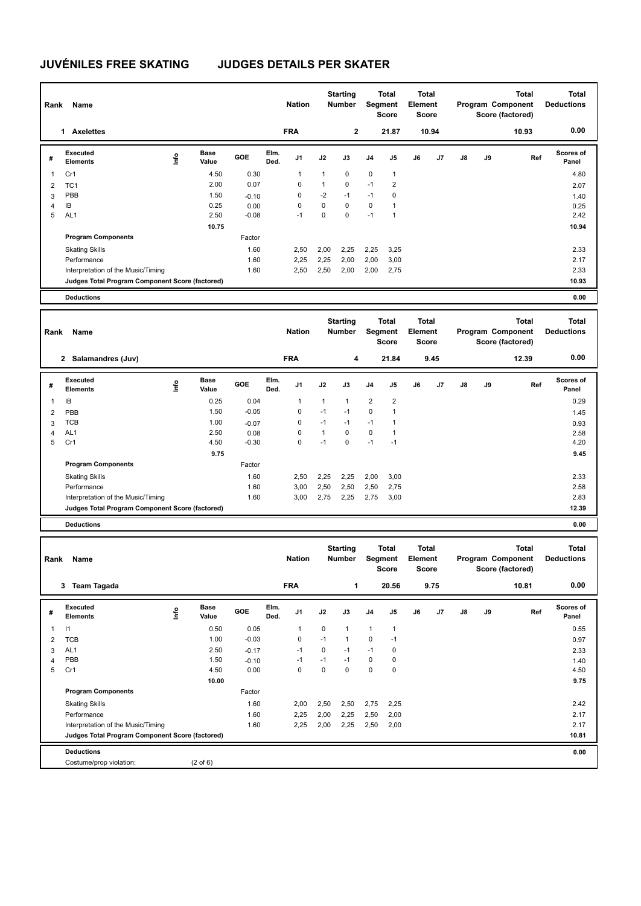## **JUVÉNILES FREE SKATING JUDGES DETAILS PER SKATER**

| Rank           | Name                                            |                              |         |              | <b>Nation</b> |              | <b>Starting</b><br><b>Number</b> |                | <b>Total</b><br>Segment<br><b>Score</b> | <b>Total</b><br>Element<br><b>Score</b> |       |    |    | <b>Total</b><br>Program Component<br>Score (factored) | <b>Total</b><br><b>Deductions</b> |
|----------------|-------------------------------------------------|------------------------------|---------|--------------|---------------|--------------|----------------------------------|----------------|-----------------------------------------|-----------------------------------------|-------|----|----|-------------------------------------------------------|-----------------------------------|
|                | 1 Axelettes                                     |                              |         |              | <b>FRA</b>    |              | $\mathbf{2}$                     |                | 21.87                                   |                                         | 10.94 |    |    | 10.93                                                 | 0.00                              |
| #              | Executed<br><b>Elements</b>                     | Base<br>١nfo<br>Value        | GOE     | Elm.<br>Ded. | J1            | J2           | J3                               | J <sub>4</sub> | J5                                      | J6                                      | J7    | J8 | J9 | Ref                                                   | <b>Scores of</b><br>Panel         |
| 1              | Cr1                                             | 4.50                         | 0.30    |              | $\mathbf{1}$  | 1            | 0                                | $\pmb{0}$      | $\mathbf{1}$                            |                                         |       |    |    |                                                       | 4.80                              |
| $\overline{2}$ | TC <sub>1</sub>                                 | 2.00                         | 0.07    |              | 0             | $\mathbf{1}$ | 0                                | $-1$           | $\overline{2}$                          |                                         |       |    |    |                                                       | 2.07                              |
| 3              | PBB                                             | 1.50                         | $-0.10$ |              | $\pmb{0}$     | $-2$         | $-1$                             | $-1$           | $\mathbf 0$                             |                                         |       |    |    |                                                       | 1.40                              |
| $\overline{4}$ | IB                                              | 0.25                         | 0.00    |              | $\mathbf 0$   | $\mathbf 0$  | 0                                | $\mathsf 0$    | $\mathbf{1}$                            |                                         |       |    |    |                                                       | 0.25                              |
| 5              | AL <sub>1</sub>                                 | 2.50                         | $-0.08$ |              | $-1$          | $\mathbf 0$  | $\Omega$                         | $-1$           | $\mathbf{1}$                            |                                         |       |    |    |                                                       | 2.42                              |
|                |                                                 | 10.75                        |         |              |               |              |                                  |                |                                         |                                         |       |    |    |                                                       | 10.94                             |
|                | <b>Program Components</b>                       |                              | Factor  |              |               |              |                                  |                |                                         |                                         |       |    |    |                                                       |                                   |
|                | <b>Skating Skills</b>                           |                              | 1.60    |              | 2,50          | 2,00         | 2,25                             | 2,25           | 3,25                                    |                                         |       |    |    |                                                       | 2.33                              |
|                | Performance                                     |                              | 1.60    |              | 2,25          | 2,25         | 2,00                             | 2,00           | 3,00                                    |                                         |       |    |    |                                                       | 2.17                              |
|                | Interpretation of the Music/Timing              |                              | 1.60    |              | 2,50          | 2,50         | 2,00                             | 2,00           | 2,75                                    |                                         |       |    |    |                                                       | 2.33                              |
|                | Judges Total Program Component Score (factored) |                              |         |              |               |              |                                  |                |                                         |                                         |       |    |    |                                                       | 10.93                             |
|                | <b>Deductions</b>                               |                              |         |              |               |              |                                  |                |                                         |                                         |       |    |    |                                                       | 0.00                              |
|                |                                                 |                              |         |              |               |              |                                  |                |                                         |                                         |       |    |    |                                                       |                                   |
| Rank           | Name                                            |                              |         |              | <b>Nation</b> |              | <b>Starting</b><br>Number        |                | Total<br>Segment<br>Score               | Total<br>Element<br><b>Score</b>        |       |    |    | <b>Total</b><br>Program Component<br>Score (factored) | <b>Total</b><br><b>Deductions</b> |
|                | 2 Salamandres (Juv)                             |                              |         |              | <b>FRA</b>    |              | 4                                |                | 21.84                                   |                                         | 9.45  |    |    | 12.39                                                 | 0.00                              |
| #              | Executed<br><b>Elements</b>                     | <b>Base</b><br>lnfo<br>Value | GOE     | Elm.<br>Ded. | J1            | J2           | J3                               | J <sub>4</sub> | J5                                      | J6                                      | J7    | J8 | J9 | Ref                                                   | Scores of<br>Panel                |
| 1              | IB                                              | 0.25                         | 0.04    |              | $\mathbf{1}$  | 1            | 1                                | $\overline{2}$ | $\overline{2}$                          |                                         |       |    |    |                                                       | 0.29                              |
| $\overline{2}$ | PBB                                             | 1.50                         | $-0.05$ |              | 0             | $-1$         | $-1$                             | $\mathbf 0$    | $\mathbf{1}$                            |                                         |       |    |    |                                                       | 1.45                              |
| 3              | <b>TCB</b>                                      | 1.00                         | $-0.07$ |              | $\Omega$      | $-1$         | $-1$                             | $-1$           | $\mathbf{1}$                            |                                         |       |    |    |                                                       | 0.93                              |
| 4              | AL <sub>1</sub>                                 | 2.50                         | 0.08    |              | 0             | $\mathbf{1}$ | 0                                | 0              | 1                                       |                                         |       |    |    |                                                       | 2.58                              |
| 5              | Cr1                                             | 4.50                         | $-0.30$ |              | $\mathbf{0}$  | $-1$         | 0                                | $-1$           | $-1$                                    |                                         |       |    |    |                                                       | 4.20                              |
|                |                                                 | 9.75                         |         |              |               |              |                                  |                |                                         |                                         |       |    |    |                                                       | 9.45                              |
|                | <b>Program Components</b>                       |                              | Factor  |              |               |              |                                  |                |                                         |                                         |       |    |    |                                                       |                                   |
|                | <b>Skating Skills</b>                           |                              | 1.60    |              | 2,50          | 2,25         | 2,25                             | 2,00           | 3,00                                    |                                         |       |    |    |                                                       | 2.33                              |
|                | Performance                                     |                              | 1.60    |              | 3,00          | 2,50         | 2,50                             | 2,50           | 2,75                                    |                                         |       |    |    |                                                       | 2.58                              |
|                | Interpretation of the Music/Timing              |                              | 1.60    |              | 3,00          | 2,75         | 2,25                             | 2,75           | 3,00                                    |                                         |       |    |    |                                                       | 2.83                              |
|                | Judges Total Program Component Score (factored) |                              |         |              |               |              |                                  |                |                                         |                                         |       |    |    |                                                       | 12.39                             |
|                | <b>Deductions</b>                               |                              |         |              |               |              |                                  |                |                                         |                                         |       |    |    |                                                       | 0.00                              |
|                |                                                 |                              |         |              |               |              |                                  |                |                                         |                                         |       |    |    |                                                       |                                   |
| Rank           | Name                                            |                              |         |              | <b>Nation</b> |              | <b>Starting</b><br><b>Number</b> |                | Total<br>Segment<br>Score               | Total<br><b>Element</b><br><b>Score</b> |       |    |    | <b>Total</b><br>Program Component<br>Score (factored) | <b>Total</b><br><b>Deductions</b> |
|                | 3 Team Tagada                                   |                              |         |              | <b>FRA</b>    |              | 1                                |                | 20.56                                   |                                         | 9.75  |    |    | 10.81                                                 | 0.00                              |

**Value GOE J1 J2 J3 J4 J5 J6 J7 J8 J9** 

 **10.00 9.75**

 TCB 1.00 -0.03 0 -1 1 0 -1 0.97 AL1 2.50 -0.17 -1 0 -1 -1 0 2.33 PBB 1.50 -0.10 -1 -1 -1 0 0 1.40 Cr1 4.50 0.00 0 0 0 0 0 4.50

Skating Skills 2,00 2,50 2,50 2,75 2,25 1.60 2.42

Performance 2.17 2.17 2.160 2,25 2,00 2,25 2,50 2,00 Interpretation of the Music/Timing 1.60 2,25 2,00 2,25 2,50 2,00 2.17

| <b>Deductions</b>               |                   | 0.00 |
|---------------------------------|-------------------|------|
| violation:<br>`ostume/prop<br>. | $:$ of $6$<br>$-$ |      |

**Base** 

**Info**

1 0.50 0.05 1 0 1 1 1

**Elm. Ded.** 

Factor

**#** 

**Executed Elements** 

**Program Components** 

I1

**Judges Total Program Component Score (factored) 10.81**

**Scores of Panel**

0.55

**Ref**